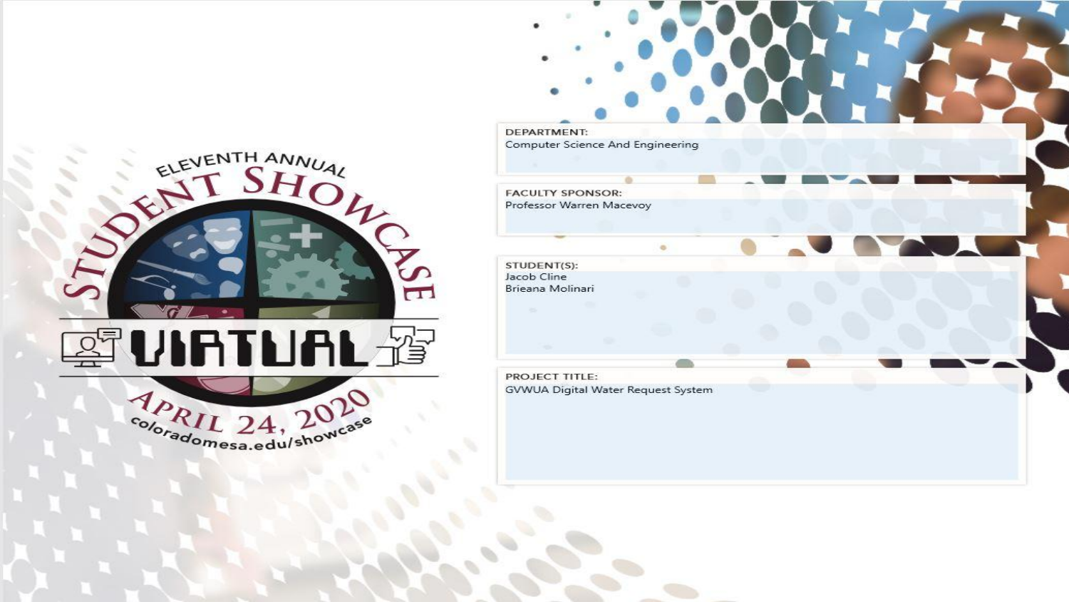

DEPARTMENT: Computer Science And Engineering **FACULTY SPONSOR:** Professor Warren Macevoy  $\alpha$ STUDENT(S): Jacob Cline Brieana Molinari PROJECT TITLE: GVWUA Digital Water Request System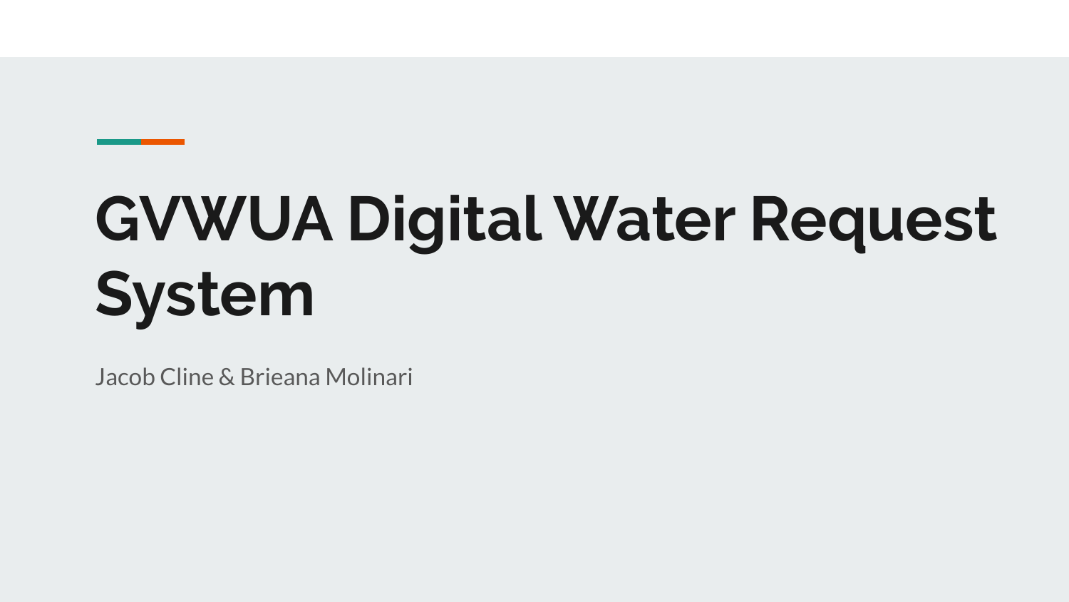# **GVWUA Digital Water Request System**

Jacob Cline & Brieana Molinari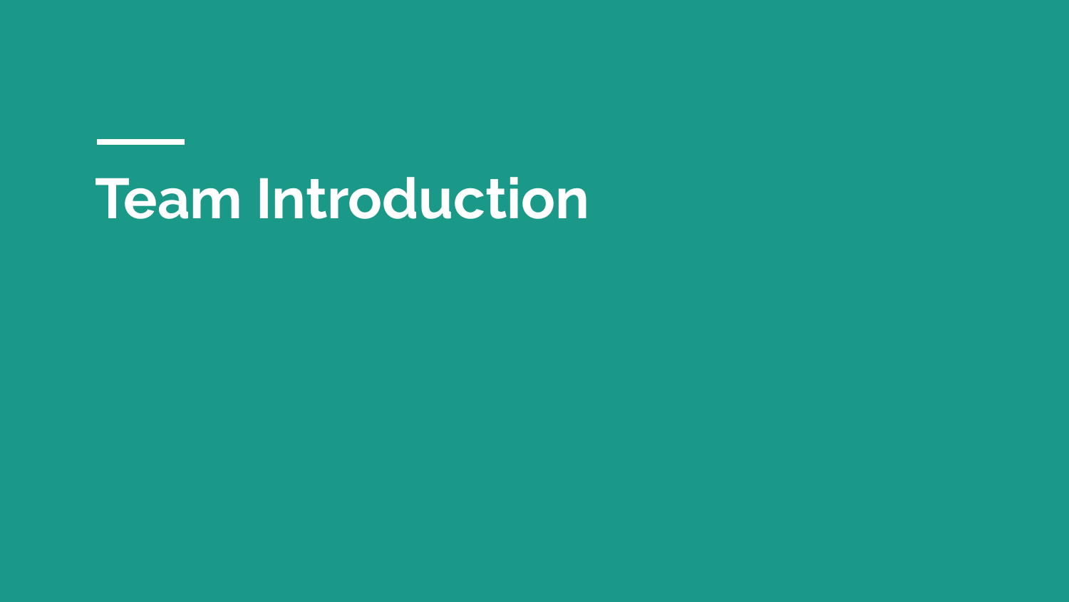# **Team Introduction**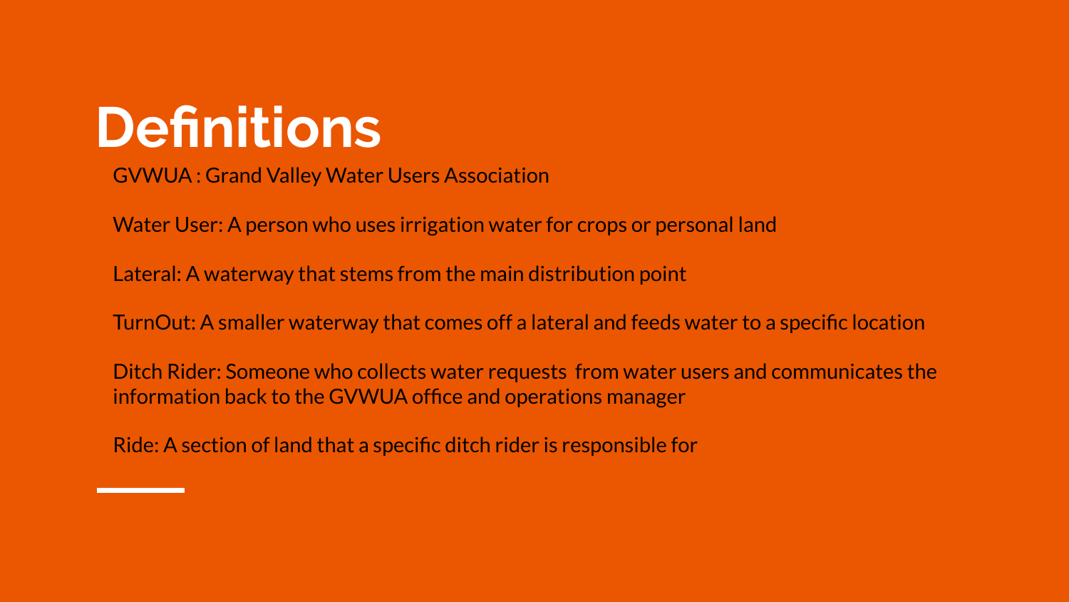# **Definitions**

GVWUA : Grand Valley Water Users Association

Water User: A person who uses irrigation water for crops or personal land

Lateral: A waterway that stems from the main distribution point

TurnOut: A smaller waterway that comes off a lateral and feeds water to a specific location

Ditch Rider: Someone who collects water requests from water users and communicates the information back to the GVWUA office and operations manager

Ride: A section of land that a specific ditch rider is responsible for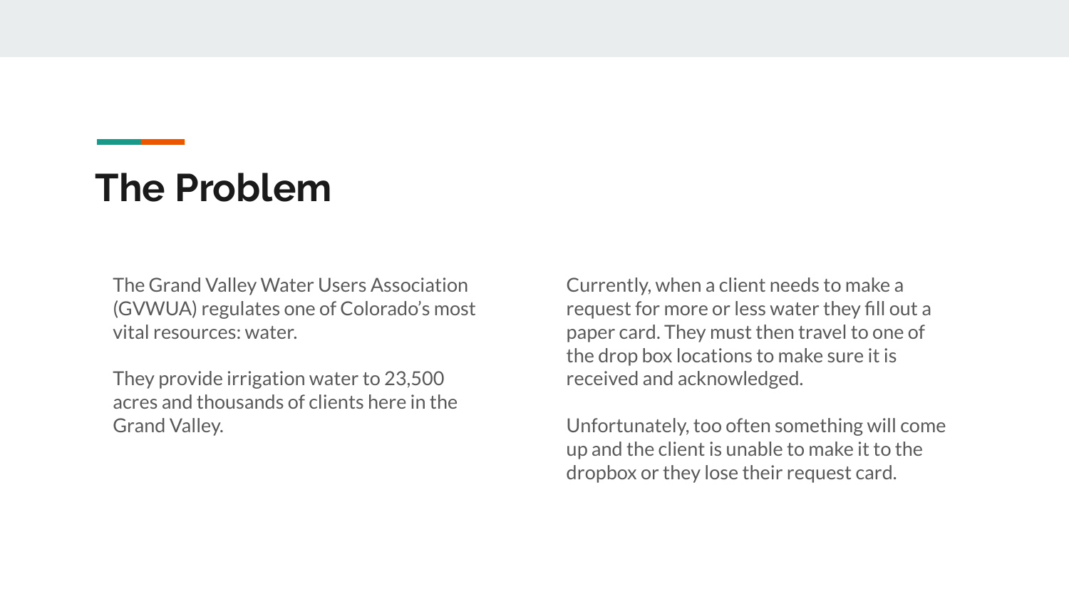#### **The Problem**

The Grand Valley Water Users Association (GVWUA) regulates one of Colorado's most vital resources: water.

They provide irrigation water to 23,500 acres and thousands of clients here in the Grand Valley.

Currently, when a client needs to make a request for more or less water they fill out a paper card. They must then travel to one of the drop box locations to make sure it is received and acknowledged.

Unfortunately, too often something will come up and the client is unable to make it to the dropbox or they lose their request card.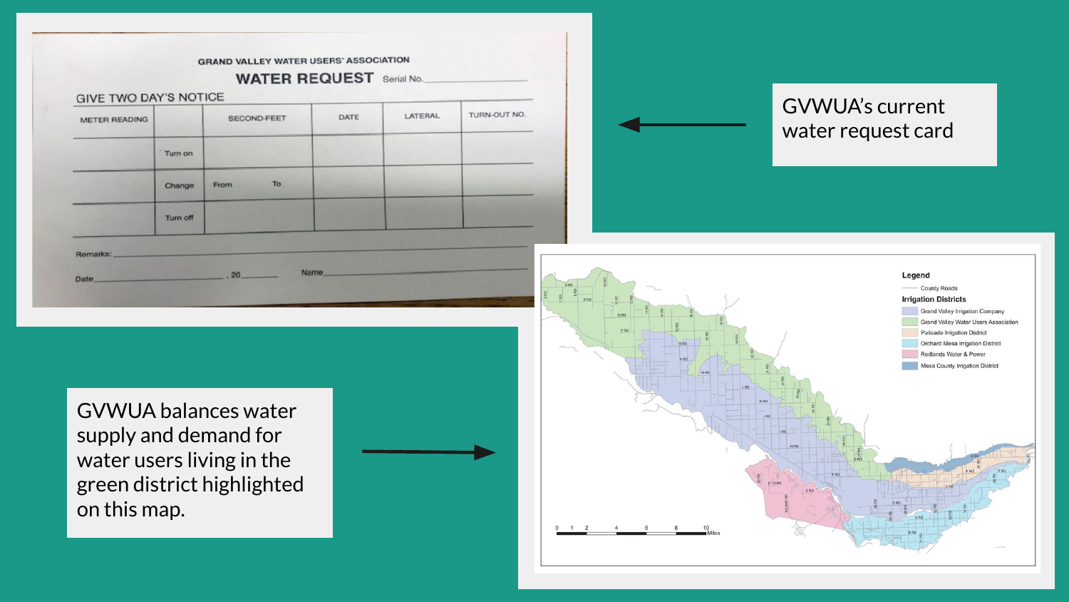| <b>GIVE TWO DAY'S NOTICE</b><br>METER READING | Turn on<br>Change | SECOND-FEET<br>To<br>From | DATE | <b>LATERAL</b> | TURN-OUT NO. |  |  | <b>GVWUA's current</b><br>water request card |  |
|-----------------------------------------------|-------------------|---------------------------|------|----------------|--------------|--|--|----------------------------------------------|--|
|                                               |                   |                           |      |                |              |  |  |                                              |  |
|                                               |                   |                           |      |                |              |  |  |                                              |  |
|                                               | Turn off          |                           |      |                |              |  |  |                                              |  |

GVWUA balances water supply and demand for water users living in the green district highlighted on this map.



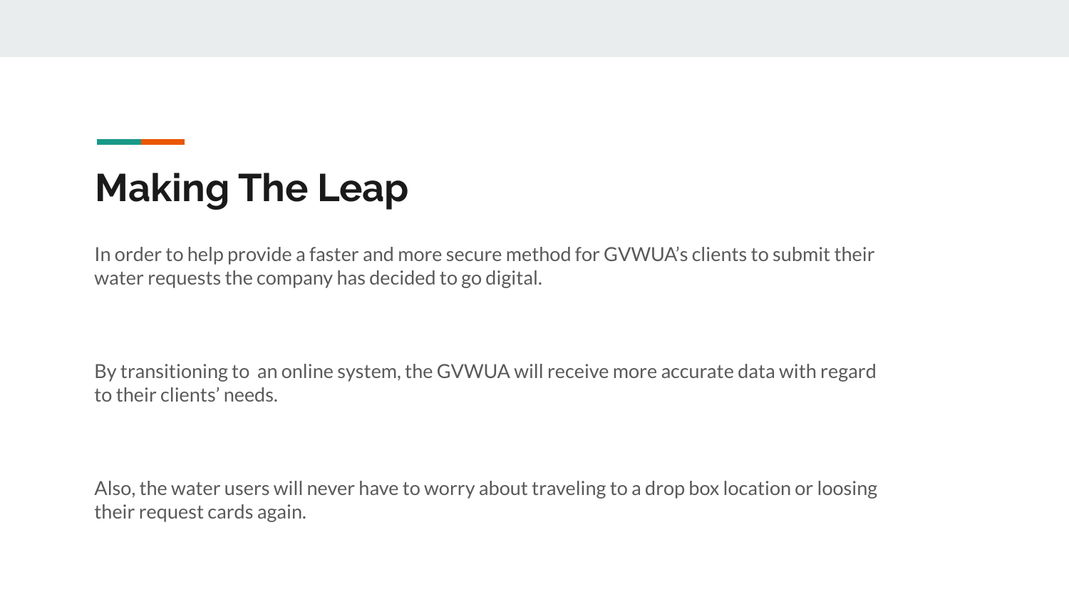### **Making The Leap**

In order to help provide a faster and more secure method for GVWUA's clients to submit their water requests the company has decided to go digital.

By transitioning to an online system, the GVWUA will receive more accurate data with regard to their clients' needs.

Also, the water users will never have to worry about traveling to a drop box location or loosing their request cards again.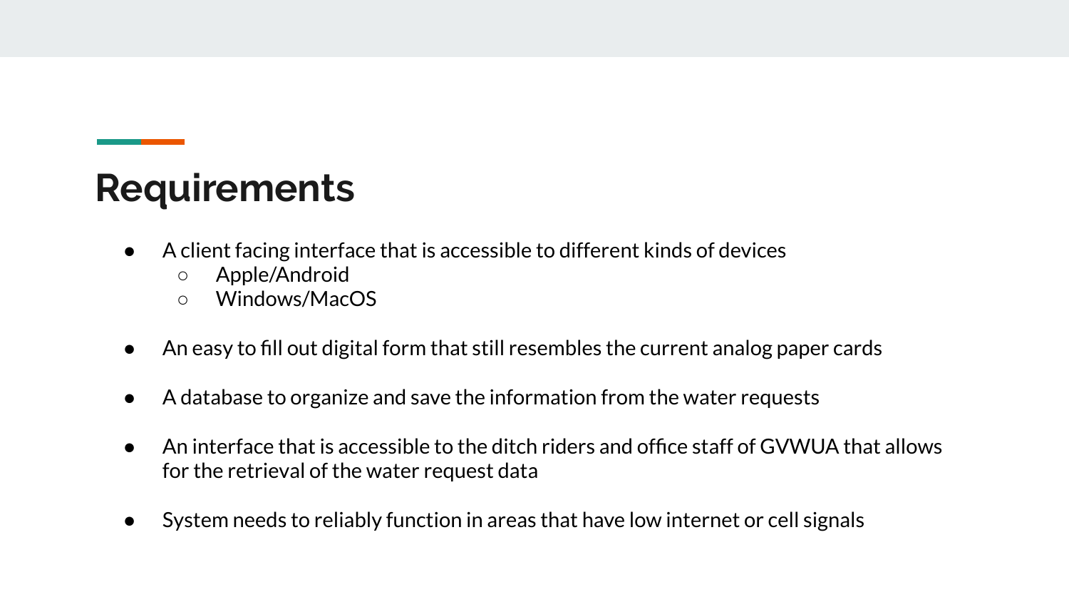#### **Requirements**

- A client facing interface that is accessible to different kinds of devices
	- Apple/Android
	- Windows/MacOS
- An easy to fill out digital form that still resembles the current analog paper cards
- A database to organize and save the information from the water requests
- An interface that is accessible to the ditch riders and office staff of GVWUA that allows for the retrieval of the water request data
- System needs to reliably function in areas that have low internet or cell signals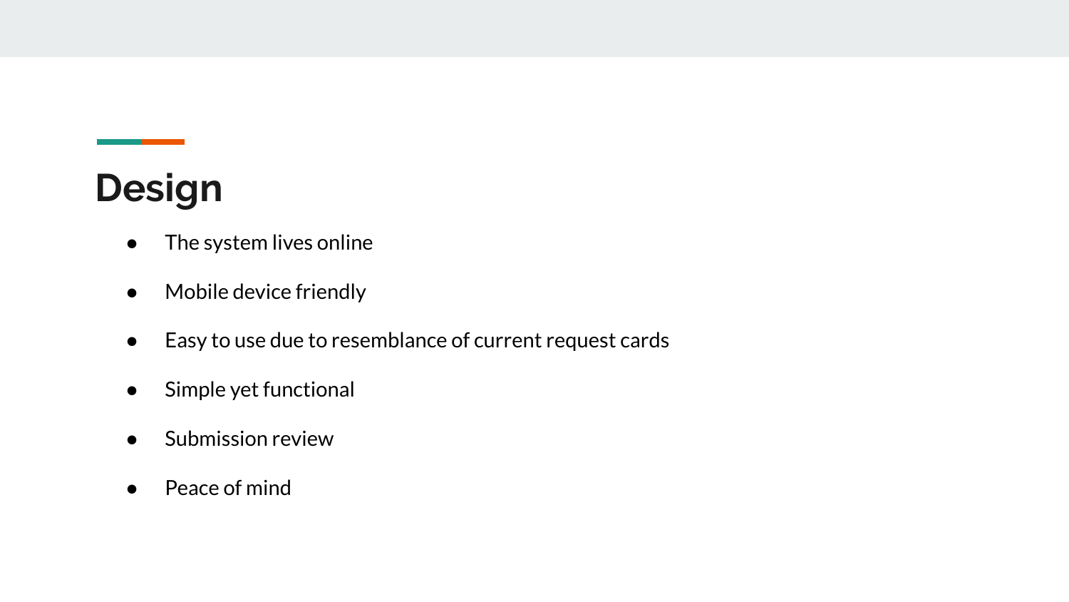### **Design**

- The system lives online
- Mobile device friendly
- Easy to use due to resemblance of current request cards
- Simple yet functional
- Submission review
- Peace of mind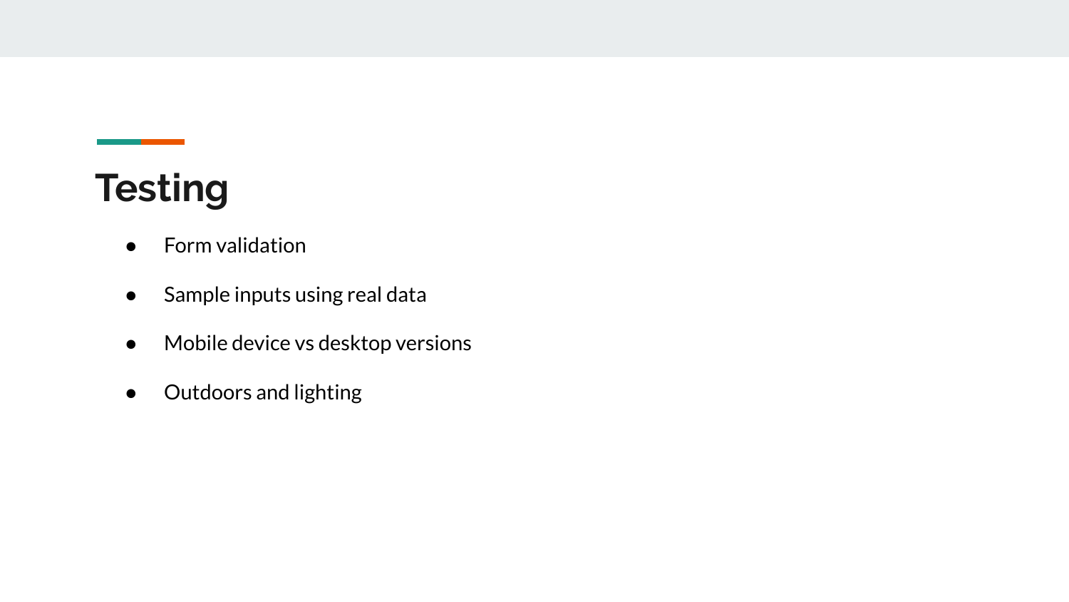### **Testing**

- Form validation
- Sample inputs using real data
- Mobile device vs desktop versions
- Outdoors and lighting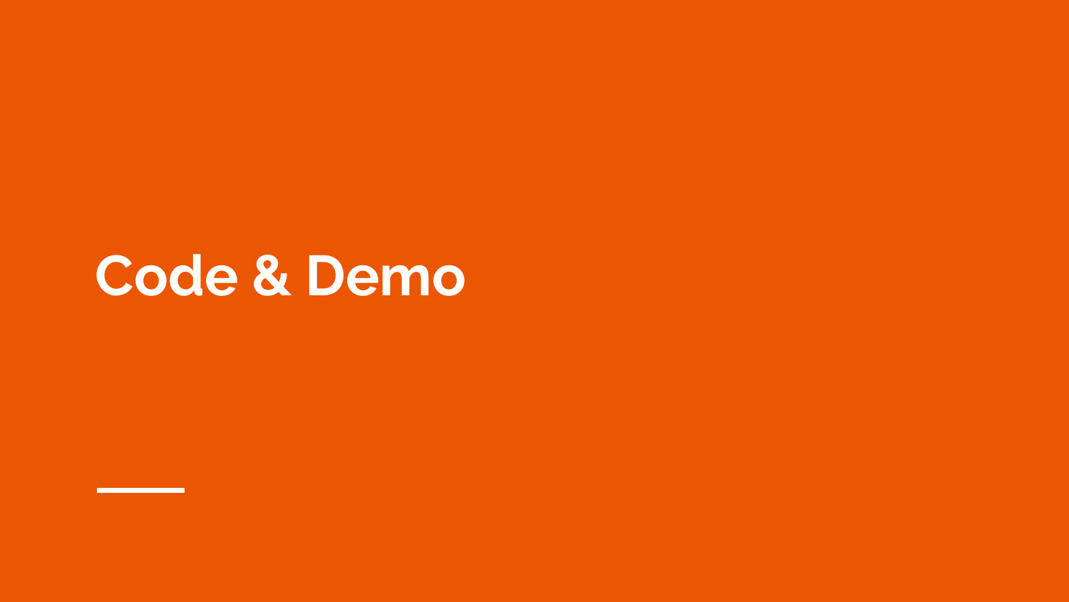## **Code & Demo**